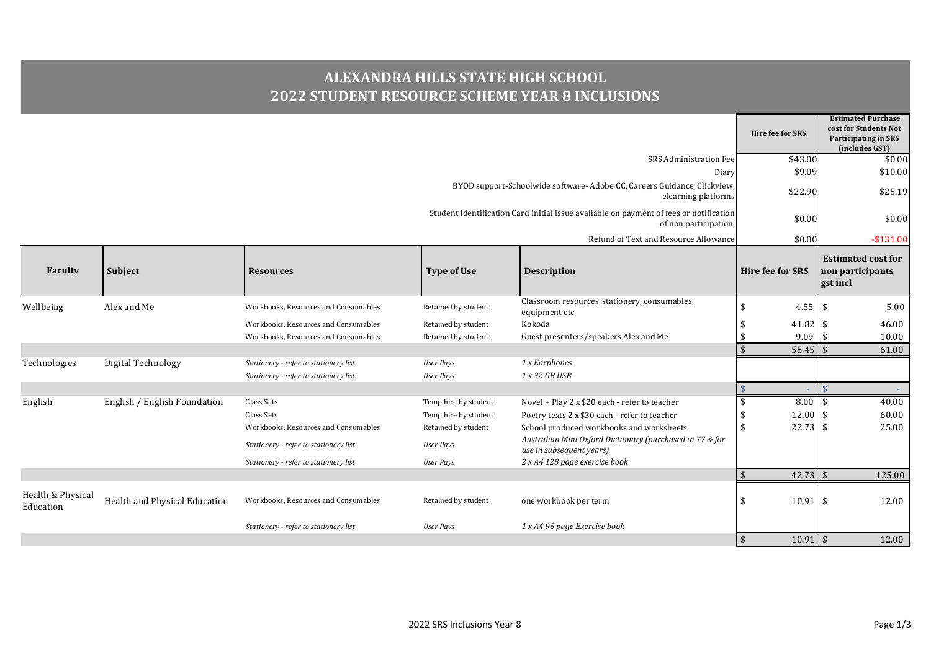## **ALEXANDRA HILLS STATE HIGH SCHOOL 2022 STUDENT RESOURCE SCHEME YEAR 8 INCLUSIONS**

|                                |                               |                                       |                                                                                                 |                                                                                      | <b>Hire fee for SRS</b>  | <b>Estimated Purchase</b><br>cost for Students Not<br>Participating in SRS<br>(includes GST) |
|--------------------------------|-------------------------------|---------------------------------------|-------------------------------------------------------------------------------------------------|--------------------------------------------------------------------------------------|--------------------------|----------------------------------------------------------------------------------------------|
|                                |                               |                                       |                                                                                                 | <b>SRS Administration Fee</b>                                                        | \$43.00                  | \$0.00                                                                                       |
|                                |                               |                                       |                                                                                                 | Diary                                                                                | \$9.09                   | \$10.00                                                                                      |
|                                |                               |                                       | BYOD support-Schoolwide software- Adobe CC, Careers Guidance, Clickview,<br>elearning platforms |                                                                                      |                          |                                                                                              |
|                                |                               |                                       | Student Identification Card Initial issue available on payment of fees or notification          | \$0.00                                                                               | \$0.00                   |                                                                                              |
|                                |                               |                                       |                                                                                                 | Refund of Text and Resource Allowance                                                | \$0.00                   | $-$131.00$                                                                                   |
| Faculty                        | Subject                       | <b>Resources</b>                      | <b>Type of Use</b>                                                                              | <b>Description</b>                                                                   | <b>Hire fee for SRS</b>  | <b>Estimated cost for</b><br>non participants<br>gst incl                                    |
| Wellbeing                      | Alex and Me                   | Workbooks, Resources and Consumables  | Retained by student                                                                             | Classroom resources, stationery, consumables,<br>equipment etc                       | $\mathbf{\hat{S}}$       | 5.00                                                                                         |
|                                |                               | Workbooks, Resources and Consumables  | Retained by student                                                                             | Kokoda                                                                               | 41.82 \$                 | 46.00                                                                                        |
|                                |                               | Workbooks, Resources and Consumables  | Retained by student                                                                             | Guest presenters/speakers Alex and Me                                                | $9.09$ \$                | 10.00                                                                                        |
|                                |                               |                                       |                                                                                                 |                                                                                      | $55.45$ \$               | 61.00                                                                                        |
| Technologies                   | Digital Technology            | Stationery - refer to stationery list | <b>User Pays</b>                                                                                | 1 x Earphones                                                                        |                          |                                                                                              |
|                                |                               | Stationery - refer to stationery list | <b>User Pays</b>                                                                                | 1 x 32 GB USB                                                                        |                          |                                                                                              |
|                                |                               |                                       |                                                                                                 |                                                                                      | ÷.                       | $\overline{1}$                                                                               |
| English                        | English / English Foundation  | Class Sets                            | Temp hire by student                                                                            | Novel + Play 2 x \$20 each - refer to teacher                                        | $8.00$ \$                | 40.00                                                                                        |
|                                |                               | Class Sets                            | Temp hire by student                                                                            | Poetry texts 2 x \$30 each - refer to teacher                                        | 12.00 \$                 | 60.00                                                                                        |
|                                |                               | Workbooks, Resources and Consumables  | Retained by student                                                                             | School produced workbooks and worksheets                                             | \$<br>$22.73$ \$         | 25.00                                                                                        |
|                                |                               | Stationery - refer to stationery list | <b>User Pays</b>                                                                                | Australian Mini Oxford Dictionary (purchased in Y7 & for<br>use in subsequent years) |                          |                                                                                              |
|                                |                               | Stationery - refer to stationery list | <b>User Pays</b>                                                                                | 2 x A4 128 page exercise book                                                        |                          |                                                                                              |
|                                |                               |                                       |                                                                                                 |                                                                                      | $42.73$ \$<br>$\sqrt{3}$ | 125.00                                                                                       |
| Health & Physical<br>Education | Health and Physical Education | Workbooks, Resources and Consumables  | Retained by student                                                                             | one workbook per term                                                                |                          | 12.00                                                                                        |
|                                |                               | Stationery - refer to stationery list | User Pays                                                                                       | 1 x A4 96 page Exercise book                                                         |                          |                                                                                              |
|                                |                               |                                       |                                                                                                 |                                                                                      | $10.91$ \$<br>$\sqrt{5}$ | 12.00                                                                                        |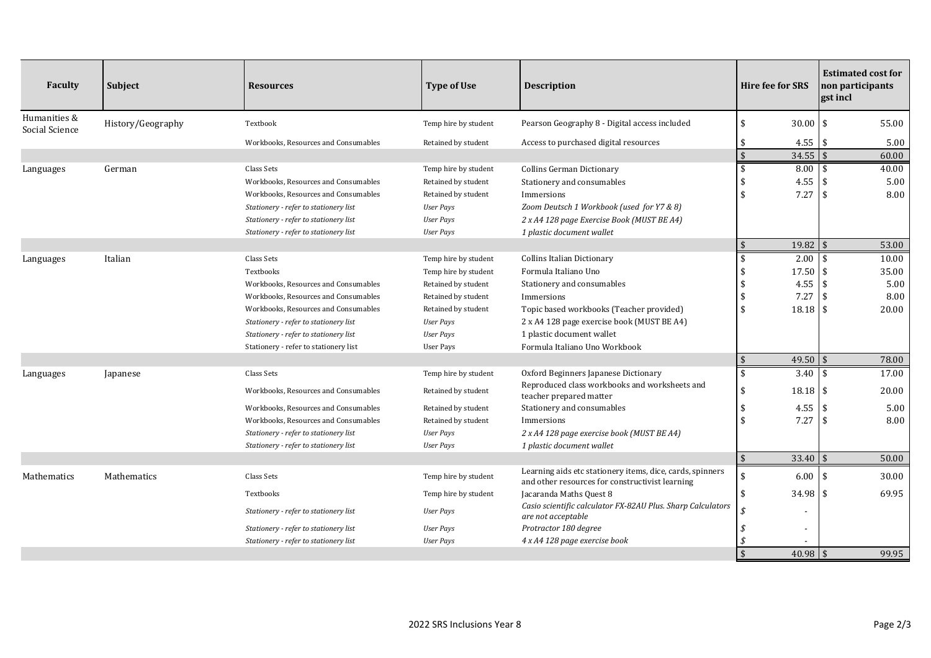| Faculty                        | Subject           | <b>Resources</b>                      | <b>Type of Use</b>   | <b>Description</b>                                                                                           | <b>Hire fee for SRS</b>          | <b>Estimated cost for</b><br>non participants<br>gst incl |
|--------------------------------|-------------------|---------------------------------------|----------------------|--------------------------------------------------------------------------------------------------------------|----------------------------------|-----------------------------------------------------------|
| Humanities &<br>Social Science | History/Geography | Textbook                              | Temp hire by student | Pearson Geography 8 - Digital access included                                                                | $\mathbf{\hat{S}}$<br>$30.00$ \$ | 55.00                                                     |
|                                |                   | Workbooks, Resources and Consumables  | Retained by student  | Access to purchased digital resources                                                                        | $4.55$ \$                        | 5.00                                                      |
|                                |                   |                                       |                      |                                                                                                              | $\sqrt{5}$<br>$34.55$ \$         | 60.00                                                     |
| Languages                      | German            | Class Sets                            | Temp hire by student | Collins German Dictionary                                                                                    | \$<br>$8.00$ \$                  | 40.00                                                     |
|                                |                   | Workbooks, Resources and Consumables  | Retained by student  | Stationery and consumables                                                                                   | 4.55                             | 5.00<br>- \$                                              |
|                                |                   | Workbooks, Resources and Consumables  | Retained by student  | Immersions                                                                                                   | $\hat{\mathbf{r}}$<br>7.27       | 8.00<br>-\$                                               |
|                                |                   | Stationery - refer to stationery list | User Pays            | Zoom Deutsch 1 Workbook (used for Y7 & 8)                                                                    |                                  |                                                           |
|                                |                   | Stationery - refer to stationery list | User Pays            | 2 x A4 128 page Exercise Book (MUST BE A4)                                                                   |                                  |                                                           |
|                                |                   | Stationery - refer to stationery list | <b>User Pays</b>     | 1 plastic document wallet                                                                                    |                                  |                                                           |
|                                |                   |                                       |                      |                                                                                                              | $\mathfrak{S}$<br>$19.82$ \$     | 53.00                                                     |
| Languages                      | Italian           | Class Sets                            | Temp hire by student | <b>Collins Italian Dictionary</b>                                                                            | $2.00 \, \text{S}$               | 10.00                                                     |
|                                |                   | Textbooks                             | Temp hire by student | Formula Italiano Uno                                                                                         | 17.50 \$                         | 35.00                                                     |
|                                |                   | Workbooks, Resources and Consumables  | Retained by student  | Stationery and consumables                                                                                   | $4.55$ \$                        | 5.00                                                      |
|                                |                   | Workbooks, Resources and Consumables  | Retained by student  | Immersions                                                                                                   | 7.27                             | 8.00<br>\$                                                |
|                                |                   | Workbooks, Resources and Consumables  | Retained by student  | Topic based workbooks (Teacher provided)                                                                     | $\mathbf{\hat{S}}$<br>$18.18$ \$ | 20.00                                                     |
|                                |                   | Stationery - refer to stationery list | User Pays            | 2 x A4 128 page exercise book (MUST BE A4)                                                                   |                                  |                                                           |
|                                |                   | Stationery - refer to stationery list | <b>User Pays</b>     | 1 plastic document wallet                                                                                    |                                  |                                                           |
|                                |                   | Stationery - refer to stationery list | User Pays            | Formula Italiano Uno Workbook                                                                                |                                  |                                                           |
|                                |                   |                                       |                      |                                                                                                              | $49.50$ \$<br>$\sqrt{3}$         | 78.00                                                     |
| Languages                      | Japanese          | Class Sets                            | Temp hire by student | Oxford Beginners Japanese Dictionary                                                                         | $3.40$   \$                      | 17.00                                                     |
|                                |                   | Workbooks, Resources and Consumables  | Retained by student  | Reproduced class workbooks and worksheets and<br>teacher prepared matter                                     | \$<br>$18.18$ \$                 | 20.00                                                     |
|                                |                   | Workbooks, Resources and Consumables  | Retained by student  | Stationery and consumables                                                                                   | \$<br>$4.55$ \$                  | 5.00                                                      |
|                                |                   | Workbooks, Resources and Consumables  | Retained by student  | Immersions                                                                                                   | $\mathbf{\hat{S}}$<br>7.27       | 8.00<br>l \$                                              |
|                                |                   | Stationery - refer to stationery list | User Pays            | 2 x A4 128 page exercise book (MUST BE A4)                                                                   |                                  |                                                           |
|                                |                   | Stationery - refer to stationery list | <b>User Pays</b>     | 1 plastic document wallet                                                                                    |                                  |                                                           |
|                                |                   |                                       |                      |                                                                                                              | $\mathfrak{S}$<br>$33.40$ \$     | 50.00                                                     |
| Mathematics                    | Mathematics       | Class Sets                            | Temp hire by student | Learning aids etc stationery items, dice, cards, spinners<br>and other resources for constructivist learning | 6.00                             | 30.00<br>\$                                               |
|                                |                   | Textbooks                             | Temp hire by student | Jacaranda Maths Quest 8                                                                                      | \$<br>$34.98$ \$                 | 69.95                                                     |
|                                |                   | Stationery - refer to stationery list | User Pays            | Casio scientific calculator FX-82AU Plus. Sharp Calculators<br>are not acceptable                            |                                  |                                                           |
|                                |                   | Stationery - refer to stationery list | User Pays            | Protractor 180 degree                                                                                        | \$<br>$\overline{\phantom{a}}$   |                                                           |
|                                |                   | Stationery - refer to stationery list | User Pays            | 4 x A4 128 page exercise book                                                                                |                                  |                                                           |
|                                |                   |                                       |                      |                                                                                                              | $\hat{\mathbf{S}}$<br>$40.98$ \$ | 99.95                                                     |